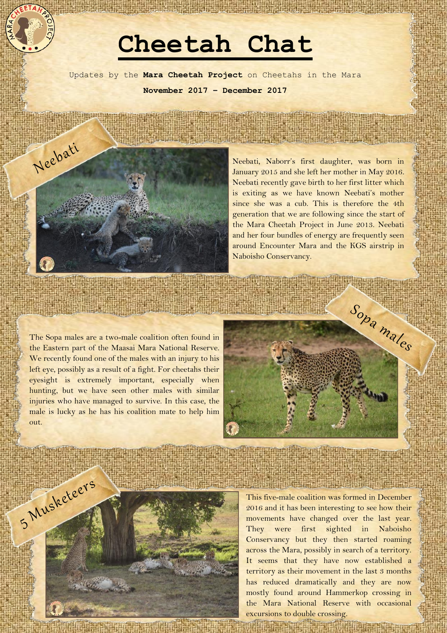## **Cheetah Chat**

Updates by the **Mara Cheetah Project** on Cheetahs in the Mara **November 2017 – December 2017**



Neebati, Naborr's first daughter, was born in January 2015 and she left her mother in May 2016. Neebati recently gave birth to her first litter which is exiting as we have known Neebati's mother since she was a cub. This is therefore the 4th generation that we are following since the start of the Mara Cheetah Project in June 2013. Neebati and her four bundles of energy are frequently seen around Encounter Mara and the KGS airstrip in Naboisho Conservancy.

The Sopa males are a two-male coalition often found in the Eastern part of the Maasai Mara National Reserve. We recently found one of the males with an injury to his left eye, possibly as a result of a fight. For cheetahs their eyesight is extremely important, especially when hunting, but we have seen other males with similar injuries who have managed to survive. In this case, the male is lucky as he has his coalition mate to help him out.





This five-male coalition was formed in December 2016 and it has been interesting to see how their movements have changed over the last year. They were first sighted in Naboisho Conservancy but they then started roaming across the Mara, possibly in search of a territory. It seems that they have now established a territory as their movement in the last 3 months has reduced dramatically and they are now mostly found around Hammerkop crossing in the Mara National Reserve with occasional excursions to double crossing.

**Charles Company of the American State of Links**